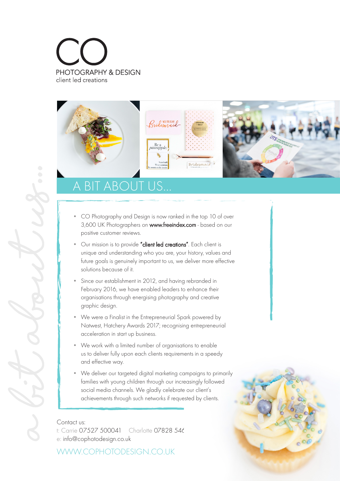



## **BIT ABOUT US...**

- CO Photography and Design is now ranked in the top 10 of over 3,600 UK Photographers on www.freeindex.com - based on our positive customer reviews.
- Our mission is to provide "client led creations". Each client is unique and understanding who you are, your history, values and future goals is genuinely important to us, we deliver more effective solutions because of it.
- Since our establishment in 2012, and having rebranded in February 2016, we have enabled leaders to enhance their organisations through energising photography and creative graphic design.
- We were a Finalist in the Entrepreneurial Spark powered by Natwest, Hatchery Awards 2017; recognising entrepreneurial acceleration in start up business.
- We work with a limited number of organisations to enable us to deliver fully upon each clients requirements in a speedy and effective way.
- We deliver our targeted digital marketing campaigns to primarily families with young children through our increasingly followed social media channels. We gladly celebrate our client's achievements through such networks if requested by clients.

t: Carrie 07527 500041 Charlotte 07828 546 e: info@cophotodesign.co.uk

WWW.COPHOTODESIGN.CO.UK